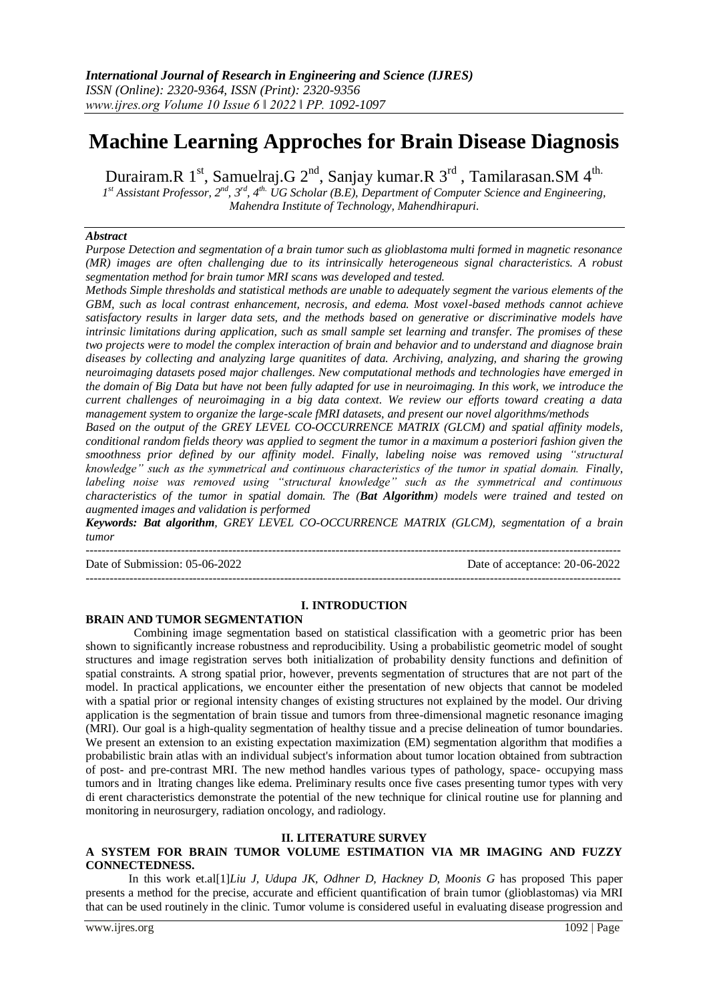# **Machine Learning Approches for Brain Disease Diagnosis**

Durairam.R 1st, Samuelraj.G 2 $^{\rm nd}$ , Sanjay kumar.R 3 $^{\rm rd}$  , Tamilarasan.SM 4 $^{\rm th.}$ 

*1 st Assistant Professor, 2nd, 3rd, 4th. UG Scholar (B.E), Department of Computer Science and Engineering, Mahendra Institute of Technology, Mahendhirapuri.* 

#### *Abstract*

*Purpose Detection and segmentation of a brain tumor such as glioblastoma multi formed in magnetic resonance (MR) images are often challenging due to its intrinsically heterogeneous signal characteristics. A robust segmentation method for brain tumor MRI scans was developed and tested.* 

*Methods Simple thresholds and statistical methods are unable to adequately segment the various elements of the GBM, such as local contrast enhancement, necrosis, and edema. Most voxel-based methods cannot achieve satisfactory results in larger data sets, and the methods based on generative or discriminative models have intrinsic limitations during application, such as small sample set learning and transfer. The promises of these two projects were to model the complex interaction of brain and behavior and to understand and diagnose brain diseases by collecting and analyzing large quanitites of data. Archiving, analyzing, and sharing the growing neuroimaging datasets posed major challenges. New computational methods and technologies have emerged in the domain of Big Data but have not been fully adapted for use in neuroimaging. In this work, we introduce the current challenges of neuroimaging in a big data context. We review our efforts toward creating a data management system to organize the large-scale fMRI datasets, and present our novel algorithms/methods*

*Based on the output of the GREY LEVEL CO-OCCURRENCE MATRIX (GLCM) and spatial affinity models, conditional random fields theory was applied to segment the tumor in a maximum a posteriori fashion given the smoothness prior defined by our affinity model. Finally, labeling noise was removed using "structural knowledge" such as the symmetrical and continuous characteristics of the tumor in spatial domain. Finally, labeling noise was removed using "structural knowledge" such as the symmetrical and continuous characteristics of the tumor in spatial domain. The (Bat Algorithm) models were trained and tested on augmented images and validation is performed*

*Keywords: Bat algorithm, GREY LEVEL CO-OCCURRENCE MATRIX (GLCM), segmentation of a brain tumor*

--------------------------------------------------------------------------------------------------------------------------------------- Date of Submission: 05-06-2022 Date of acceptance: 20-06-2022 ---------------------------------------------------------------------------------------------------------------------------------------

## **I. INTRODUCTION**

## **BRAIN AND TUMOR SEGMENTATION**

Combining image segmentation based on statistical classification with a geometric prior has been shown to significantly increase robustness and reproducibility. Using a probabilistic geometric model of sought structures and image registration serves both initialization of probability density functions and definition of spatial constraints. A strong spatial prior, however, prevents segmentation of structures that are not part of the model. In practical applications, we encounter either the presentation of new objects that cannot be modeled with a spatial prior or regional intensity changes of existing structures not explained by the model. Our driving application is the segmentation of brain tissue and tumors from three-dimensional magnetic resonance imaging (MRI). Our goal is a high-quality segmentation of healthy tissue and a precise delineation of tumor boundaries. We present an extension to an existing expectation maximization (EM) segmentation algorithm that modifies a probabilistic brain atlas with an individual subject's information about tumor location obtained from subtraction of post- and pre-contrast MRI. The new method handles various types of pathology, space- occupying mass tumors and in ltrating changes like edema. Preliminary results once five cases presenting tumor types with very di erent characteristics demonstrate the potential of the new technique for clinical routine use for planning and monitoring in neurosurgery, radiation oncology, and radiology.

## **II. LITERATURE SURVEY**

# **A SYSTEM FOR BRAIN TUMOR VOLUME ESTIMATION VIA MR IMAGING AND FUZZY CONNECTEDNESS.**

In this work et.al[1]*Liu J, Udupa JK, Odhner D, Hackney D, Moonis G* has proposed This paper presents a method for the precise, accurate and efficient quantification of brain tumor (glioblastomas) via MRI that can be used routinely in the clinic. Tumor volume is considered useful in evaluating disease progression and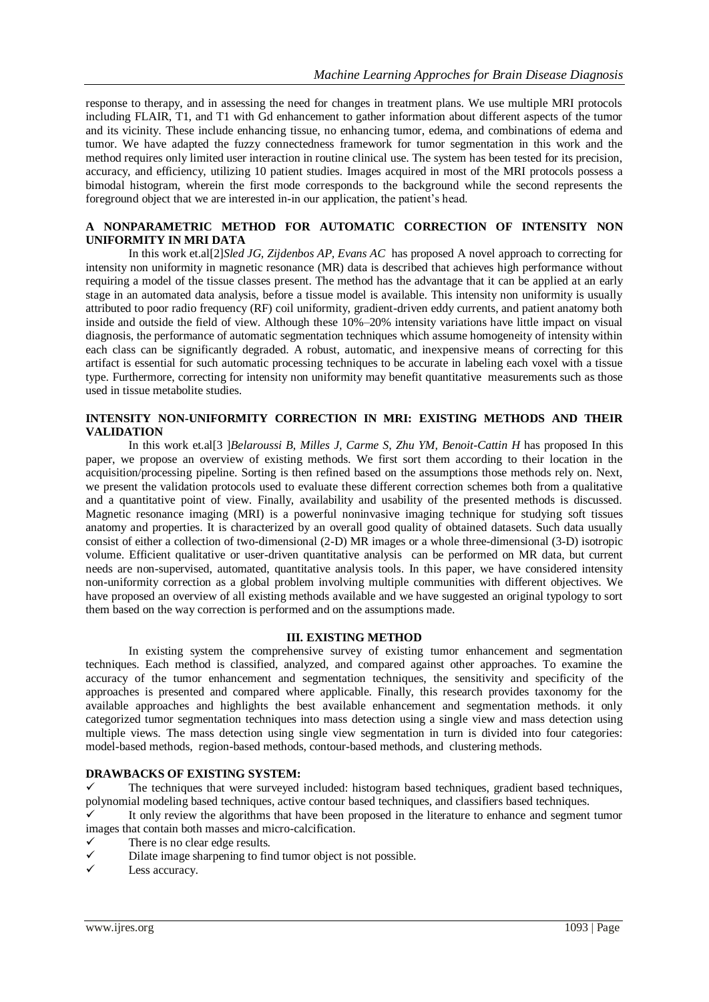response to therapy, and in assessing the need for changes in treatment plans. We use multiple MRI protocols including FLAIR, T1, and T1 with Gd enhancement to gather information about different aspects of the tumor and its vicinity. These include enhancing tissue, no enhancing tumor, edema, and combinations of edema and tumor. We have adapted the fuzzy connectedness framework for tumor segmentation in this work and the method requires only limited user interaction in routine clinical use. The system has been tested for its precision, accuracy, and efficiency, utilizing 10 patient studies. Images acquired in most of the MRI protocols possess a bimodal histogram, wherein the first mode corresponds to the background while the second represents the foreground object that we are interested in-in our application, the patient's head.

## **A NONPARAMETRIC METHOD FOR AUTOMATIC CORRECTION OF INTENSITY NON UNIFORMITY IN MRI DATA**

In this work et.al[2]*Sled JG, Zijdenbos AP, Evans AC* has proposed A novel approach to correcting for intensity non uniformity in magnetic resonance (MR) data is described that achieves high performance without requiring a model of the tissue classes present. The method has the advantage that it can be applied at an early stage in an automated data analysis, before a tissue model is available. This intensity non uniformity is usually attributed to poor radio frequency (RF) coil uniformity, gradient-driven eddy currents, and patient anatomy both inside and outside the field of view. Although these 10%–20% intensity variations have little impact on visual diagnosis, the performance of automatic segmentation techniques which assume homogeneity of intensity within each class can be significantly degraded. A robust, automatic, and inexpensive means of correcting for this artifact is essential for such automatic processing techniques to be accurate in labeling each voxel with a tissue type. Furthermore, correcting for intensity non uniformity may benefit quantitative measurements such as those used in tissue metabolite studies.

## **INTENSITY NON-UNIFORMITY CORRECTION IN MRI: EXISTING METHODS AND THEIR VALIDATION**

In this work et.al[3 ]*Belaroussi B, Milles J, Carme S, Zhu YM, Benoit-Cattin H* has proposed In this paper, we propose an overview of existing methods. We first sort them according to their location in the acquisition/processing pipeline. Sorting is then refined based on the assumptions those methods rely on. Next, we present the validation protocols used to evaluate these different correction schemes both from a qualitative and a quantitative point of view. Finally, availability and usability of the presented methods is discussed. Magnetic resonance imaging (MRI) is a powerful noninvasive imaging technique for studying soft tissues anatomy and properties. It is characterized by an overall good quality of obtained datasets. Such data usually consist of either a collection of two-dimensional (2-D) MR images or a whole three-dimensional (3-D) isotropic volume. Efficient qualitative or user-driven quantitative analysis can be performed on MR data, but current needs are non-supervised, automated, quantitative analysis tools. In this paper, we have considered intensity non-uniformity correction as a global problem involving multiple communities with different objectives. We have proposed an overview of all existing methods available and we have suggested an original typology to sort them based on the way correction is performed and on the assumptions made.

# **III. EXISTING METHOD**

In existing system the comprehensive survey of existing tumor enhancement and segmentation techniques. Each method is classified, analyzed, and compared against other approaches. To examine the accuracy of the tumor enhancement and segmentation techniques, the sensitivity and specificity of the approaches is presented and compared where applicable. Finally, this research provides taxonomy for the available approaches and highlights the best available enhancement and segmentation methods. it only categorized tumor segmentation techniques into mass detection using a single view and mass detection using multiple views. The mass detection using single view segmentation in turn is divided into four categories: model-based methods, region-based methods, contour-based methods, and clustering methods.

#### **DRAWBACKS OF EXISTING SYSTEM:**

 The techniques that were surveyed included: histogram based techniques, gradient based techniques, polynomial modeling based techniques, active contour based techniques, and classifiers based techniques.

 It only review the algorithms that have been proposed in the literature to enhance and segment tumor images that contain both masses and micro-calcification.

- There is no clear edge results.
- Dilate image sharpening to find tumor object is not possible.
- Less accuracy.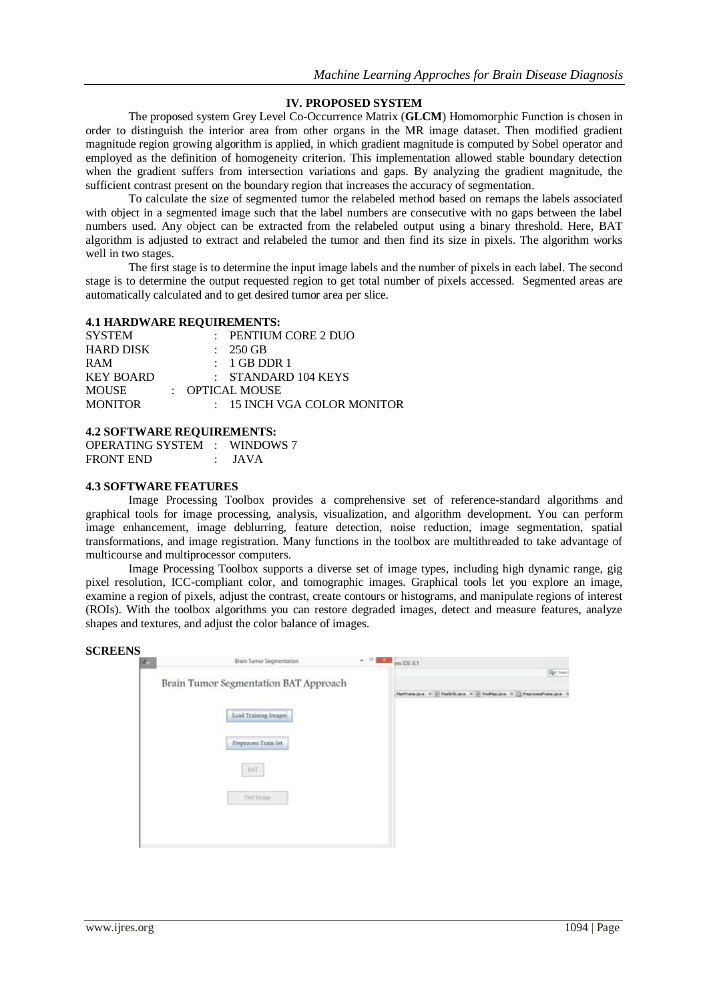## **IV. PROPOSED SYSTEM**

The proposed system Grey Level Co-Occurrence Matrix (**GLCM**) Homomorphic Function is chosen in order to distinguish the interior area from other organs in the MR image dataset. Then modified gradient magnitude region growing algorithm is applied, in which gradient magnitude is computed by Sobel operator and employed as the definition of homogeneity criterion. This implementation allowed stable boundary detection when the gradient suffers from intersection variations and gaps. By analyzing the gradient magnitude, the sufficient contrast present on the boundary region that increases the accuracy of segmentation.

To calculate the size of segmented tumor the relabeled method based on remaps the labels associated with object in a segmented image such that the label numbers are consecutive with no gaps between the label numbers used. Any object can be extracted from the relabeled output using a binary threshold. Here, BAT algorithm is adjusted to extract and relabeled the tumor and then find its size in pixels. The algorithm works well in two stages.

The first stage is to determine the input image labels and the number of pixels in each label. The second stage is to determine the output requested region to get total number of pixels accessed. Segmented areas are automatically calculated and to get desired tumor area per slice.

## **4.1 HARDWARE REQUIREMENTS:**

| <b>SYSTEM</b>    | $\therefore$ PENTIUM CORE 2 DUO |
|------------------|---------------------------------|
| <b>HARD DISK</b> | $\div$ 250 GB                   |
| <b>RAM</b>       | $\div$ 1 GB DDR 1               |
| <b>KEY BOARD</b> | $:$ STANDARD 104 KEYS           |
| <b>MOUSE</b>     | $\therefore$ OPTICAL MOUSE      |
| <b>MONITOR</b>   | $\pm$ 15 INCH VGA COLOR MONITOR |

#### **4.2 SOFTWARE REQUIREMENTS:**

| OPERATING SYSTEM : WINDOWS 7 |      |
|------------------------------|------|
| <b>FRONT END</b>             | JAVA |

#### **4.3 SOFTWARE FEATURES**

Image Processing Toolbox provides a comprehensive set of reference-standard algorithms and graphical tools for image processing, analysis, visualization, and algorithm development. You can perform image enhancement, image deblurring, feature detection, noise reduction, image segmentation, spatial transformations, and image registration. Many functions in the toolbox are multithreaded to take advantage of multicourse and multiprocessor computers.

Image Processing Toolbox supports a diverse set of image types, including high dynamic range, gig pixel resolution, ICC-compliant color, and tomographic images. Graphical tools let you explore an image, examine a region of pixels, adjust the contrast, create contours or histograms, and manipulate regions of interest (ROIs). With the toolbox algorithms you can restore degraded images, detect and measure features, analyze shapes and textures, and adjust the color balance of images.

## **SCREENS**

| Brain Tumor Segmentation              |                                                              |
|---------------------------------------|--------------------------------------------------------------|
|                                       | Q <sub>T</sub>                                               |
| Brain Tumor Segmentation BAT Approach | Rethensex, X 30 holds are: X 30 holds are: X 33 homestheware |
| Load Training Images                  |                                                              |
| Preprocess Train Set                  |                                                              |
| BAT.                                  |                                                              |
|                                       |                                                              |
| Tert Image                            |                                                              |
|                                       |                                                              |
|                                       |                                                              |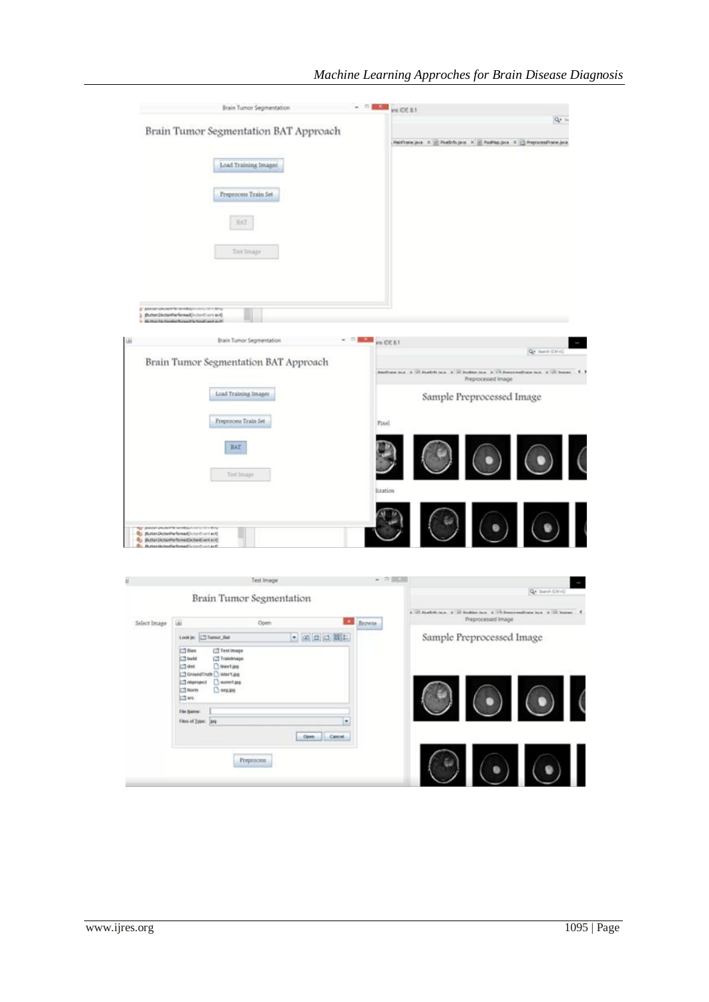|                             | Brain Turnor Segmentation                                                                                                                                                                                                                                                    | D <b>BASE</b> VAIDE 8.1                                                                                               |
|-----------------------------|------------------------------------------------------------------------------------------------------------------------------------------------------------------------------------------------------------------------------------------------------------------------------|-----------------------------------------------------------------------------------------------------------------------|
|                             | Brain Tumor Segmentation BAT Approach<br>Load Training Images<br>Preprocess Train Set<br>BAT.<br>Test limage                                                                                                                                                                 | $Q_1 =$<br>Melihane Jea X (a) Peebris java X (a) Padriap Jea X (c) Proprocesi care Jea                                |
| 3. Winner ferites a conspir | Butter/Action/Verhensel/Action/Corrilled/<br>We change that they will sufficient to this modern of a send to the<br>Brain Tumor Segmentation                                                                                                                                 | ins IDE ILT<br>Qr Sunh (314)                                                                                          |
|                             | Brain Tumor Segmentation BAT Approach                                                                                                                                                                                                                                        | V III Dodden bus. V 1-5 December<br>100 Glorida Ry Sales<br>Preprocessed Image                                        |
|                             | Load Training Images                                                                                                                                                                                                                                                         | Sample Preprocessed Image                                                                                             |
|                             | Preprocess Train Set                                                                                                                                                                                                                                                         | Fixel                                                                                                                 |
|                             | <b>BAT</b><br>Tirt bruge                                                                                                                                                                                                                                                     | $\odot$ $\odot$ (<br>lization                                                                                         |
|                             | D. Autor2AdonPerformed(Adonf) and<br><b>Q</b> Butter/Actor@directla.terEverLevt<br><b>Pultur-McNeelw formed is to chance and</b>                                                                                                                                             | $\bigodot$ $\bigodot$ $\bigodot$                                                                                      |
|                             | Test Image                                                                                                                                                                                                                                                                   | $-77$ 2001                                                                                                            |
|                             | Brain Tumor Segmentation                                                                                                                                                                                                                                                     | Qr. Sund (264)                                                                                                        |
| Select Insage               | $-144$<br>Open                                                                                                                                                                                                                                                               | C 121 Doublets layer. It 127 Doublets (suit. It 1113) Stampstreamboare (suit.<br>Préprocessed limage<br><b>Browse</b> |
|                             | $\bullet$ $\bullet$ $\bullet$ $\bullet$ $\bullet$<br>Look Jr. C Turner, Bat.<br>230m<br>C. Test image<br>$\Box$ built<br><sup>2</sup> Traintmage<br>$-304$<br>hest are<br>OriendTruth Distort and<br>C3 migraph C1<br>Cheestag<br><b>CT Noon</b><br>D sesipo<br><b>CZ</b> MY | Sample Preprocessed Image<br>$\odot$ $\odot$ (                                                                        |
|                             | File Name:<br>Film of Expec. Just<br>$\bullet$<br>Center<br>Open:                                                                                                                                                                                                            |                                                                                                                       |
|                             | <b>Preprocess</b>                                                                                                                                                                                                                                                            | $\odot$ $\odot$                                                                                                       |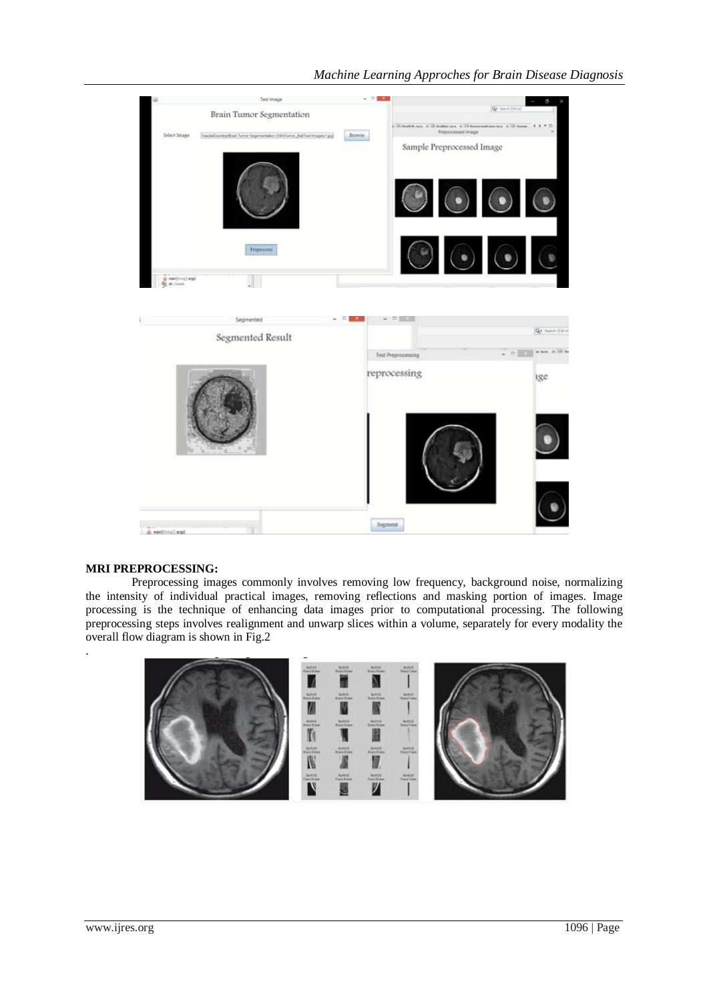

# **MRI PREPROCESSING:**

Preprocessing images commonly involves removing low frequency, background noise, normalizing the intensity of individual practical images, removing reflections and masking portion of images. Image processing is the technique of enhancing data images prior to computational processing. The following preprocessing steps involves realignment and unwarp slices within a volume, separately for every modality the overall flow diagram is shown in Fig.2 .